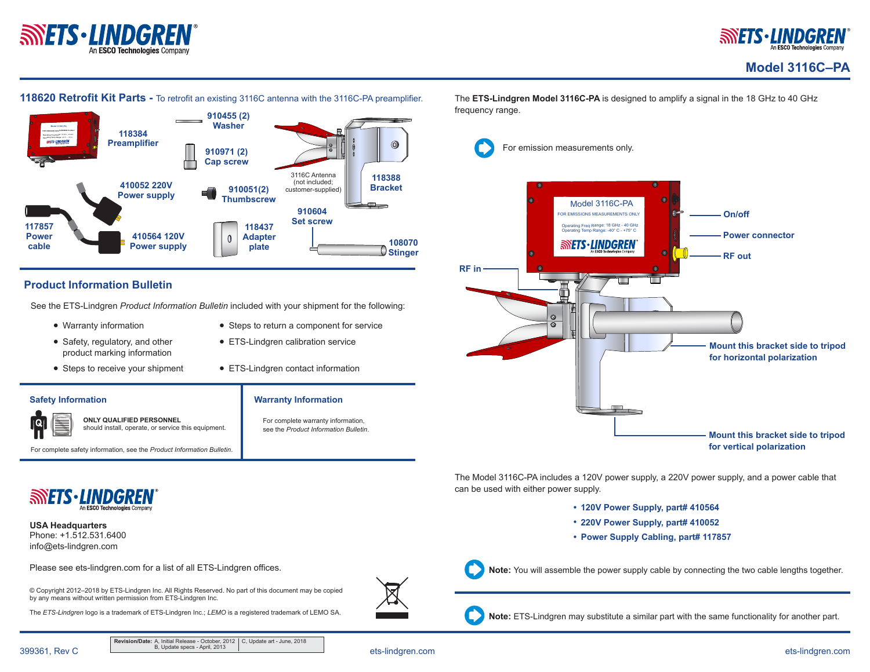



**SILINDIGREN** 

### **118620 Retrofit Kit Parts -** To retrofit an existing 3116C antenna with the 3116C-PA preamplifier.



## **Product Information Bulletin**

See the ETS-Lindgren *Product Information Bulletin* included with your shipment for the following:

- Warranty information
- Safety, regulatory, and other product marking information
- Steps to receive your shipment
- Steps to return a component for service

**Warranty Information**

For complete warranty information, see the *Product Information Bulletin*.

- ETS-Lindgren calibration service
- ETS-Lindgren contact information

#### **Safety Information**



**ONLY QUALIFIED PERSONNEL** should install, operate, or service this equipment.

For complete safety information, see the *Product Information Bulletin*.



Phone: +1.512.531.6400 info@ets-lindgren.com **USA Headquarters**

Please see ets-lindgren.com for a list of all ETS-Lindgren offices.

© Copyright 2012–2018 by ETS-Lindgren Inc. All Rights Reserved. No part of this document may be copied by any means without written permission from ETS-Lindgren Inc.

The *ETS-Lindgren* logo is a trademark of ETS-Lindgren Inc.; *LEMO* is a registered trademark of LEMO SA.



The **ETS-Lindgren Model 3116C-PA** is designed to amplify a signal in the 18 GHz to 40 GHz frequency range.

For emission measurements only.

Model 3116C-PA FOR EMISSIONS MEASUREMENTS ONLY **On/off** Operating Freq Range: 18 GHz - 40 GHz Operating Temp Range: -40° C - +75° C **Power connector SINETS·LINDGREN RF out RF in Mount this bracket side to tripod for horizontal polarization Mount this bracket side to tripod for vertical polarization**

The Model 3116C-PA includes a 120V power supply, a 220V power supply, and a power cable that can be used with either power supply.

- **• 120V Power Supply, part# 410564**
- **• 220V Power Supply, part# 410052**
- **• Power Supply Cabling, part# 117857**



**Note:** You will assemble the power supply cable by connecting the two cable lengths together.



**Note:** ETS-Lindgren may substitute a similar part with the same functionality for another part.